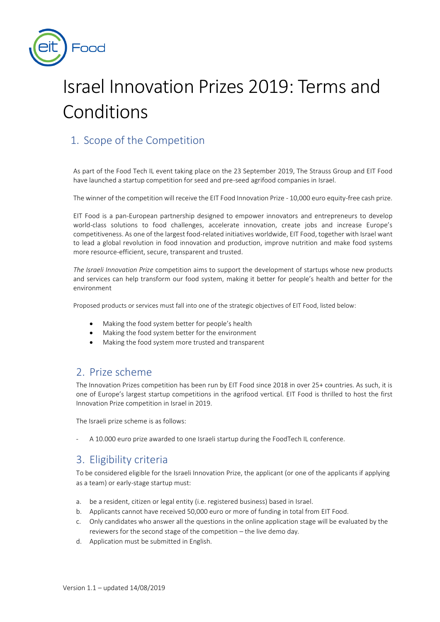

# Israel Innovation Prizes 2019: Terms and Conditions

# 1. Scope of the Competition

As part of the Food Tech IL event taking place on the 23 September 2019, The Strauss Group and EIT Food have launched a startup competition for seed and pre-seed agrifood companies in Israel.

The winner of the competition will receive the EIT Food Innovation Prize - 10,000 euro equity-free cash prize.

EIT Food is a pan-European partnership designed to empower innovators and entrepreneurs to develop world-class solutions to food challenges, accelerate innovation, create jobs and increase Europe's competitiveness. As one of the largest food-related initiatives worldwide, EIT Food, together with Israel want to lead a global revolution in food innovation and production, improve nutrition and make food systems more resource-efficient, secure, transparent and trusted.

*The Israeli Innovation Prize* competition aims to support the development of startups whose new products and services can help transform our food system, making it better for people's health and better for the environment

Proposed products or services must fall into one of the strategic objectives of EIT Food, listed below:

- Making the food system better for people's health
- Making the food system better for the environment
- Making the food system more trusted and transparent

## 2. Prize scheme

The Innovation Prizes competition has been run by EIT Food since 2018 in over 25+ countries. As such, it is one of Europe's largest startup competitions in the agrifood vertical. EIT Food is thrilled to host the first Innovation Prize competition in Israel in 2019.

The Israeli prize scheme is as follows:

A 10.000 euro prize awarded to one Israeli startup during the FoodTech IL conference.

## 3. Eligibility criteria

To be considered eligible for the Israeli Innovation Prize, the applicant (or one of the applicants if applying as a team) or early-stage startup must:

- a. be a resident, citizen or legal entity (i.e. registered business) based in Israel.
- b. Applicants cannot have received 50,000 euro or more of funding in total from EIT Food.
- c. Only candidates who answer all the questions in the online application stage will be evaluated by the reviewers for the second stage of the competition – the live demo day*.*
- d. Application must be submitted in English.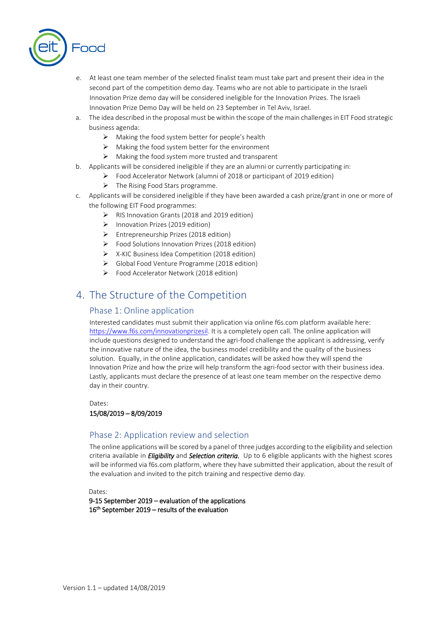

- e. At least one team member of the selected finalist team must take part and present their idea in the second part of the competition demo day. Teams who are not able to participate in the Israeli Innovation Prize demo day will be considered ineligible for the Innovation Prizes. The Israeli Innovation Prize Demo Day will be held on 23 September in Tel Aviv, Israel.
- a. The idea described in the proposal must be within the scope of the main challenges in EIT Food strategic business agenda:
	- $\triangleright$  Making the food system better for people's health
	- $\triangleright$  Making the food system better for the environment
	- ➢ Making the food system more trusted and transparent
- b. Applicants will be considered ineligible if they are an alumni or currently participating in:
	- ➢ Food Accelerator Network (alumni of 2018 or participant of 2019 edition)
		- $\triangleright$  The Rising Food Stars programme.
- c. Applicants will be considered ineligible if they have been awarded a cash prize/grant in one or more of the following EIT Food programmes:
	- ➢ RIS Innovation Grants (2018 and 2019 edition)
	- ➢ Innovation Prizes (2019 edition)
	- ➢ Entrepreneurship Prizes (2018 edition)
	- ➢ Food Solutions Innovation Prizes (2018 edition)
	- ➢ X-KIC Business Idea Competition (2018 edition)
	- ➢ Global Food Venture Programme (2018 edition)
	- ➢ Food Accelerator Network (2018 edition)

# 4. The Structure of the Competition

### Phase 1: Online application

Interested candidates must submit their application via online f6s.com platform available here: [https://www.f6s.com/innovationprizesil.](https://www.f6s.com/innovationprizesil) It is a completely open call. The online application will include questions designed to understand the agri-food challenge the applicant is addressing, verify the innovative nature of the idea, the business model credibility and the quality of the business solution. Equally, in the online application, candidates will be asked how they will spend the Innovation Prize and how the prize will help transform the agri-food sector with their business idea. Lastly, applicants must declare the presence of at least one team member on the respective demo day in their country.

## Dates: 15/08/2019 – 8/09/2019

## Phase 2: Application review and selection

The online applications will be scored by a panel of three judges according to the eligibility and selection criteria available in *Eligibility* and *Selection criteria.* Up to 6 eligible applicants with the highest scores will be informed via f6s.com platform, where they have submitted their application, about the result of the evaluation and invited to the pitch training and respective demo day.

Dates:

9-15 September 2019 – evaluation of the applications 16<sup>th</sup> September 2019 – results of the evaluation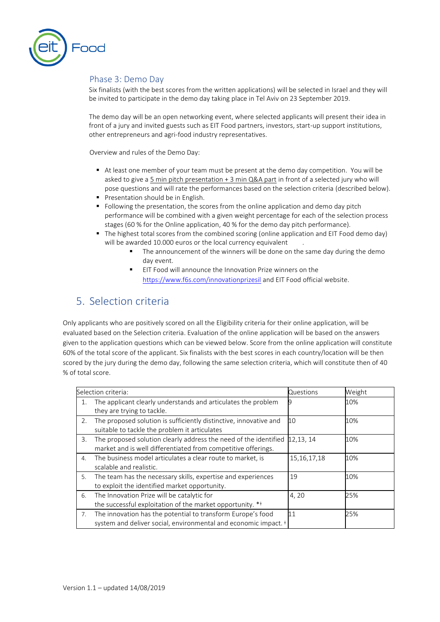

## Phase 3: Demo Day

Six finalists (with the best scores from the written applications) will be selected in Israel and they will be invited to participate in the demo day taking place in Tel Aviv on 23 September 2019.

The demo day will be an open networking event, where selected applicants will present their idea in front of a jury and invited guests such as EIT Food partners, investors, start-up support institutions, other entrepreneurs and agri-food industry representatives.

Overview and rules of the Demo Day:

- At least one member of your team must be present at the demo day competition. You will be asked to give a 5 min pitch presentation + 3 min Q&A part in front of a selected jury who will pose questions and will rate the performances based on the selection criteria (described below).
- **Presentation should be in English.**
- Following the presentation, the scores from the online application and demo day pitch performance will be combined with a given weight percentage for each of the selection process stages (60 % for the Online application, 40 % for the demo day pitch performance).
- The highest total scores from the combined scoring (online application and EIT Food demo day) will be awarded 10.000 euros or the local currency equivalent
	- The announcement of the winners will be done on the same day during the demo day event.
	- EIT Food will announce the Innovation Prize winners on the <https://www.f6s.com/innovationprizesil> and EIT Food official website.

# 5. Selection criteria

Only applicants who are positively scored on all the Eligibility criteria for their online application, will be evaluated based on the Selection criteria. Evaluation of the online application will be based on the answers given to the application questions which can be viewed below. Score from the online application will constitute 60% of the total score of the applicant. Six finalists with the best scores in each country/location will be then scored by the jury during the demo day, following the same selection criteria, which will constitute then of 40 % of total score.

| Selection criteria: |                                                                                                                                           | Questions      | Weight |
|---------------------|-------------------------------------------------------------------------------------------------------------------------------------------|----------------|--------|
| 1.                  | The applicant clearly understands and articulates the problem<br>they are trying to tackle.                                               |                | 10%    |
| 2.                  | The proposed solution is sufficiently distinctive, innovative and<br>suitable to tackle the problem it articulates                        | 10             | 10%    |
| 3.                  | The proposed solution clearly address the need of the identified<br>market and is well differentiated from competitive offerings.         | 12,13, 14      | 10%    |
| 4.                  | The business model articulates a clear route to market, is<br>scalable and realistic.                                                     | 15, 16, 17, 18 | 10%    |
| 5.                  | The team has the necessary skills, expertise and experiences<br>to exploit the identified market opportunity.                             | 19             | 10%    |
| 6.                  | The Innovation Prize will be catalytic for<br>the successful exploitation of the market opportunity. **                                   | 4,20           | 25%    |
| 7.                  | The innovation has the potential to transform Europe's food<br>system and deliver social, environmental and economic impact. <sup>#</sup> | 11             | 25%    |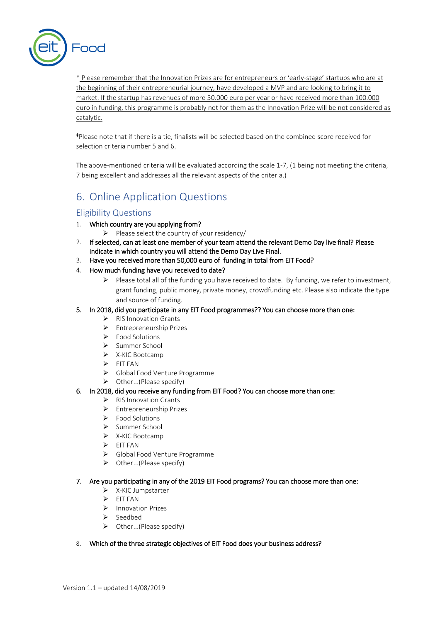

\* Please remember that the Innovation Prizes are for entrepreneurs or 'early-stage' startups who are at the beginning of their entrepreneurial journey, have developed a MVP and are looking to bring it to market. If the startup has revenues of more 50.000 euro per year or have received more than 100.000 euro in funding, this programme is probably not for them as the Innovation Prize will be not considered as catalytic.

<sup>ǂ</sup>Please note that if there is a tie, finalists will be selected based on the combined score received for selection criteria number 5 and 6.

The above-mentioned criteria will be evaluated according the scale 1-7, (1 being not meeting the criteria, 7 being excellent and addresses all the relevant aspects of the criteria.)

# 6. Online Application Questions

## Eligibility Questions

- 1. Which country are you applying from?
	- ➢ Please select the country of your residency/
- 2. If selected, can at least one member of your team attend the relevant Demo Day live final? Please indicate in which country you will attend the Demo Day Live Final.
- 3. Have you received more than 50,000 euro of funding in total from EIT Food?
- 4. How much funding have you received to date?
	- $\triangleright$  Please total all of the funding you have received to date. By funding, we refer to investment, grant funding, public money, private money, crowdfunding etc. Please also indicate the type and source of funding.
- 5. In 2018, did you participate in any EIT Food programmes?? You can choose more than one:
	- ➢ RIS Innovation Grants
	- ➢ Entrepreneurship Prizes
	- ➢ Food Solutions
	- ➢ Summer School
	- ➢ X-KIC Bootcamp
	- ➢ EIT FAN
	- ➢ Global Food Venture Programme
	- $\triangleright$  Other...(Please specify)
- 6. In 2018, did you receive any funding from EIT Food? You can choose more than one:
	- ➢ RIS Innovation Grants
	- ➢ Entrepreneurship Prizes
	- ➢ Food Solutions
	- ➢ Summer School
	- ➢ X-KIC Bootcamp
	- ➢ EIT FAN
	- ➢ Global Food Venture Programme
	- ➢ Other...(Please specify)

#### 7. Are you participating in any of the 2019 EIT Food programs? You can choose more than one:

- ➢ X-KIC Jumpstarter
- ➢ EIT FAN
- ➢ Innovation Prizes
- ➢ Seedbed
- ➢ Other...(Please specify)
- 8. Which of the three strategic objectives of EIT Food does your business address?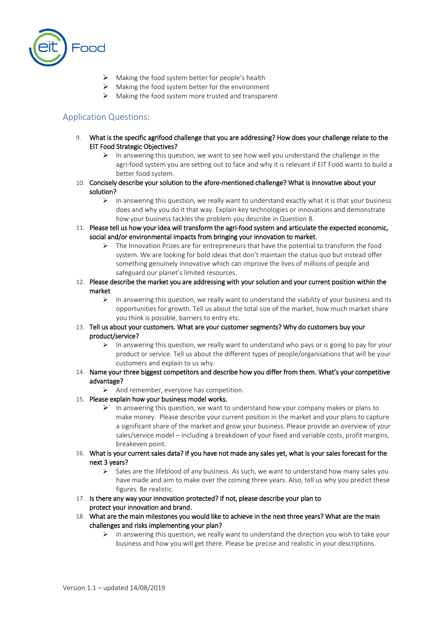

- ➢ Making the food system better for people's health
- ➢ Making the food system better for the environment
- ➢ Making the food system more trusted and transparent

## Application Questions:

- 9. What is the specific agrifood challenge that you are addressing? How does your challenge relate to the EIT Food Strategic Objectives?
	- $\triangleright$  In answering this question, we want to see how well you understand the challenge in the agri-food system you are setting out to face and why it is relevant if EIT Food wants to build a better food system.
- 10. Concisely describe your solution to the afore-mentioned challenge? What is innovative about your solution?
	- $\triangleright$  In answering this question, we really want to understand exactly what it is that your business does and why you do it that way. Explain key technologies or innovations and demonstrate how your business tackles the problem you describe in Question 8.
- 11. Please tell us how your idea will transform the agri-food system and articulate the expected economic, social and/or environmental impacts from bringing your innovation to market.
	- ➢ The Innovation Prizes are for entrepreneurs that have the potential to transform the food system. We are looking for bold ideas that don't maintain the status quo but instead offer something genuinely innovative which can improve the lives of millions of people and safeguard our planet's limited resources.
- 12. Please describe the market you are addressing with your solution and your current position within the market
	- $\triangleright$  In answering this question, we really want to understand the viability of your business and its opportunities for growth. Tell us about the total size of the market, how much market share you think is possible, barriers to entry etc.
- 13. Tell us about your customers. What are your customer segments? Why do customers buy your product/service?
	- $\triangleright$  In answering this question, we really want to understand who pays or is going to pay for your product or service. Tell us about the different types of people/organisations that will be your customers and explain to us why.
- 14. Name your three biggest competitors and describe how you differ from them. What's your competitive advantage?
	- ➢ And remember, everyone has competition.

#### 15. Please explain how your business model works.

- $\triangleright$  In answering this question, we want to understand how your company makes or plans to make money. Please describe your current position in the market and your plans to capture a significant share of the market and grow your business. Please provide an overview of your sales/service model – including a breakdown of your fixed and variable costs, profit margins, breakeven point.
- 16. What is your current sales data? If you have not made any sales yet, what is your sales forecast for the next 3 years?
	- $\triangleright$  Sales are the lifeblood of any business. As such, we want to understand how many sales you have made and aim to make over the coming three years. Also, tell us why you predict these figures. Be realistic.
- 17. Is there any way your innovation protected? If not, please describe your plan to protect your innovation and brand.
- 18. What are the main milestones you would like to achieve in the next three years? What are the main challenges and risks implementing your plan?
	- $\triangleright$  In answering this question, we really want to understand the direction you wish to take your business and how you will get there. Please be precise and realistic in your descriptions.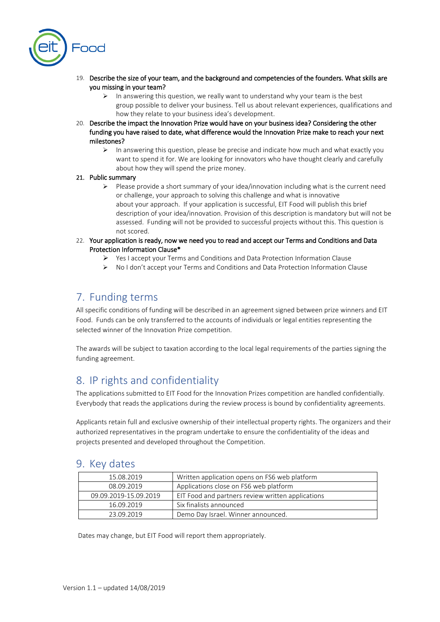

- 19. Describe the size of your team, and the background and competencies of the founders. What skills are you missing in your team?
	- $\triangleright$  In answering this question, we really want to understand why your team is the best group possible to deliver your business. Tell us about relevant experiences, qualifications and how they relate to your business idea's development.
- 20. Describe the impact the Innovation Prize would have on your business idea? Considering the other funding you have raised to date, what difference would the Innovation Prize make to reach your next milestones?
	- $\triangleright$  In answering this question, please be precise and indicate how much and what exactly you want to spend it for. We are looking for innovators who have thought clearly and carefully about how they will spend the prize money.

#### 21. Public summary

- ➢ Please provide a short summary of your idea/innovation including what is the current need or challenge, your approach to solving this challenge and what is innovative about your approach. If your application is successful, EIT Food will publish this brief description of your idea/innovation. Provision of this description is mandatory but will not be assessed. Funding will not be provided to successful projects without this. This question is not scored.
- 22. Your application is ready, now we need you to read and accept our Terms and Conditions and Data Protection Information Clause\*
	- ➢ Yes I accept your Terms and Conditions and Data Protection Information Clause
	- ➢ No I don't accept your Terms and Conditions and Data Protection Information Clause

# 7. Funding terms

All specific conditions of funding will be described in an agreement signed between prize winners and EIT Food. Funds can be only transferred to the accounts of individuals or legal entities representing the selected winner of the Innovation Prize competition.

The awards will be subject to taxation according to the local legal requirements of the parties signing the funding agreement.

# 8. IP rights and confidentiality

The applications submitted to EIT Food for the Innovation Prizes competition are handled confidentially. Everybody that reads the applications during the review process is bound by confidentiality agreements.

Applicants retain full and exclusive ownership of their intellectual property rights. The organizers and their authorized representatives in the program undertake to ensure the confidentiality of the ideas and projects presented and developed throughout the Competition.

## 9. Key dates

| 15.08.2019            | Written application opens on FS6 web platform     |
|-----------------------|---------------------------------------------------|
| 08.09.2019            | Applications close on FS6 web platform            |
| 09.09.2019-15.09.2019 | EIT Food and partners review written applications |
| 16.09.2019            | Six finalists announced                           |
| 23.09.2019            | Demo Day Israel. Winner announced.                |

Dates may change, but EIT Food will report them appropriately.